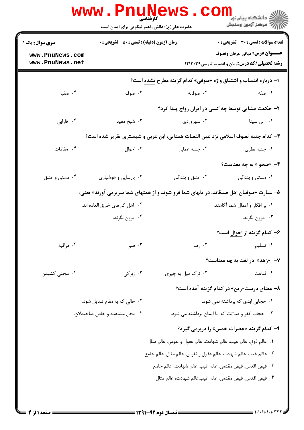|                                    | <b>www.PnuNews</b><br>کارشناس <i>ی</i><br>حضرت علی(ع): دانش راهبر نیکویی برای ایمان است |                                                                                        | د دانشگاه پيام نو <mark>ر</mark><br>أأأ مركز آزمون وسنجش                                        |
|------------------------------------|-----------------------------------------------------------------------------------------|----------------------------------------------------------------------------------------|-------------------------------------------------------------------------------------------------|
| <b>سری سوال :</b> یک ۱             | <b>زمان آزمون (دقیقه) : تستی : 50 ٪ تشریحی : 0</b>                                      |                                                                                        | تعداد سوالات : تستي : 30 ٪ تشريحي : 0                                                           |
| www.PnuNews.com<br>www.PnuNews.net |                                                                                         |                                                                                        | <b>عنـــوان درس:</b> مبانی عرفان وتصوف<br><b>رشته تحصیلی/کد درس:</b> زبان و ادبیات فارسی1۲۱۳۰۳۹ |
|                                    |                                                                                         | ا- درباره انتساب و اشتقاق واژه «صوفی» کدام گزینه مطرح نشده است؟                        |                                                                                                 |
| ۰۴ صفیه                            | ۰۳ صوف                                                                                  | ۰۲ صوفانه                                                                              | ۰۱ صفه                                                                                          |
|                                    |                                                                                         | ۲- حکمت مشایی توسط چه کسی در ایران رواج پیدا کرد؟                                      |                                                                                                 |
| ۰۴ فارابی                          | ۰۳ شیخ مفید                                                                             | ۰۲ سهروردی                                                                             | ۰۱ ابن سینا                                                                                     |
|                                    |                                                                                         | ۳– کدام جنبه تصوف اسلامی نزد عین القضات همدانی، ابن عربی و شبستری تقریر شده است؟       |                                                                                                 |
| ۰۴ مقامات                          | ۰۳ احوال                                                                                | ۰۲ جنبه عملی                                                                           | ۰۱ جنبه نظری                                                                                    |
|                                    |                                                                                         |                                                                                        | ۴- «صحو » به چه معناست؟                                                                         |
| ۰۴ مستی و عشق                      | ۰۳ پارسایی و هوشیاری                                                                    | ۰۲ عشق و بندگی                                                                         | ۱. مستی و بندگی                                                                                 |
|                                    |                                                                                         | ۵– عبارت «صوفیان اهل صدقاند، در دلهای شما فرو شوند و از همتهای شما سربرمی آورند» یعنی: |                                                                                                 |
|                                    | ٠٢ اهل كارهاي خارق العاده اند.                                                          |                                                                                        | ۰۱ بر افکار و اعمال شما آگاهند.                                                                 |
|                                    | ۰۴ برون نگرند.                                                                          |                                                                                        | ۰۳ درون نگرند.                                                                                  |
|                                    |                                                                                         |                                                                                        | ۶– کدام گزینه از <u>احوال</u> است؟                                                              |
| ۰۴ مراقبه                          | ۰۳ صبر                                                                                  | ۰۲ رضا                                                                                 | ۰۱ تسلیم                                                                                        |
|                                    |                                                                                         |                                                                                        | <b>۷</b> - «زهد» در لغت به چه معناست؟                                                           |
| ۰۴ سختی کشیدن                      | ۰۳ زیر کی $\cdot$                                                                       | ۰۲ ترک میل به چیزی                                                                     | ۰۱ قناعت                                                                                        |
|                                    |                                                                                         |                                                                                        | <b>۸</b> – معنای درست«رین» در کدام گزینه آمده است؟                                              |
|                                    | ۲. حالی که به مقام تبدیل شود.                                                           |                                                                                        | ۰۱ حجابی ابدی که برداشته نمی شود.                                                               |
|                                    | ۰۴ محل مشاهده و خاص صاحبدلان.                                                           |                                                                                        | ۰۳ - حجاب کفر و ضلالت که با ایمان برداشته می شود.                                               |
|                                    |                                                                                         |                                                                                        | ۹- کدام گزینه «حضرات خمس» را دربرمی گیرد؟                                                       |
|                                    |                                                                                         | ٠١ عالم ذوق. عالم غيب. عالم شهادت. عالم عقول و نفوس. عالم مثال                         |                                                                                                 |
|                                    |                                                                                         | ٢٠   عاالم غيب. عالم شهادت. عالم عقول و نفوس. عالم مثال. عالم جامع                     |                                                                                                 |
|                                    |                                                                                         | ٣.  فيض اقدس. فيض مقدس. عالم غيب. عالم شهادت، عالم جامع                                |                                                                                                 |
|                                    |                                                                                         | ۰۴ فیض اقدس. فیض مقدس. عالم غیب.عالم شهادت، عالم مثال                                  |                                                                                                 |
|                                    |                                                                                         |                                                                                        |                                                                                                 |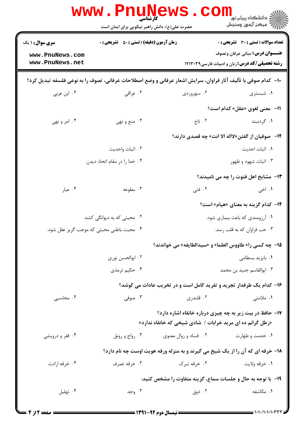|                                    | <b>WWW . PITUI</b> N<br><b>کارشناسی</b><br>حضرت علی(ع): دانش راهبر نیکویی برای ایمان است                                     |              | <mark>ڪ دانشڪاه پيام نور</mark><br>ج آ مرڪز آزمون وسنڊش                                         |  |
|------------------------------------|------------------------------------------------------------------------------------------------------------------------------|--------------|-------------------------------------------------------------------------------------------------|--|
| <b>سری سوال : ۱ یک</b>             | <b>زمان آزمون (دقیقه) : تستی : 50 ٪ تشریحی : 0</b>                                                                           |              | تعداد سوالات : تستى : 30 قشريحى : 0                                                             |  |
| www.PnuNews.com<br>www.PnuNews.net |                                                                                                                              |              | <b>عنـــوان درس:</b> مبانی عرفان وتصوف<br><b>رشته تحصیلی/کد درس:</b> زبان و ادبیات فارسی۱۲۱۳۰۳۹ |  |
|                                    | ∙ا− کدام صوفی با تألیف آثار فراوان، سرایش اشعار عرفانی و وضع اصطلاحات عرفانی، تصوف را به نوعی فلسفه تبدیل کرد؟               |              |                                                                                                 |  |
| ۰۴ ابن عربی                        | ۰۳ عراقی                                                                                                                     | ۰۲ سهروردی   | ۰۱ شبستری                                                                                       |  |
|                                    |                                                                                                                              |              | 11- معنى لغوى «عقل» كدام است؟                                                                   |  |
| ۰۴ امر و نهی                       | ۰۳ منع و نهي                                                                                                                 | ۲. تاج       | ۱. گردنبند                                                                                      |  |
|                                    |                                                                                                                              |              | ۱۲− صوفیان از گفتن«لااله الا انت» چه قصدی دارند؟                                                |  |
|                                    | ٢. اثبات واحديت                                                                                                              |              | ۰۱ اثبات احدیت                                                                                  |  |
|                                    | ۰۴ خدا را در مقام اتحاد ديدن                                                                                                 |              | ۰۳ اثبات شهود و ظهور                                                                            |  |
|                                    |                                                                                                                              |              | 13- مشایخ اهل فتوت را چه می نامیدند؟                                                            |  |
| ۰۴ عیار                            | ۰۳ مطوعه                                                                                                                     | ۰۲ فتی       | ۰۱ اخی                                                                                          |  |
|                                    |                                                                                                                              |              | <b>۱۴</b> – کدام گزینه به معنای «هیام» است؟                                                     |  |
|                                    | ۰۲ محبتی که به دیوانگی کشد.                                                                                                  |              | ۰۱ آرزومندی که باعث بیماری شود.                                                                 |  |
|                                    | ۰۴ محبت باطنی محبتی که موجب گریز عقل شود.                                                                                    |              | ۰۳ حب فراوان که به قلب رسد.                                                                     |  |
|                                    |                                                                                                                              |              | 15- چه کسی را« طاووس العلما» و «سیدالطایفه» می خواندند؟                                         |  |
|                                    | ۰۲ ابوالحسن نوری                                                                                                             |              | ۰۱ بایزید بسطامی                                                                                |  |
|                                    | ۰۴ حکیم ترمذی                                                                                                                |              | ٠٣ ابوالقاسم جنيد بن محمد                                                                       |  |
|                                    |                                                                                                                              |              | ۱۶- کدام یک طرفدار تجرید و تفرید کامل است و در تخریب عادات می کوشد؟                             |  |
| ۰۴ محاسبی                          | ۰۳ صوفی                                                                                                                      | ۰۲ قلندری    | ۱. ملامتی                                                                                       |  |
|                                    | <b>۱۷- حافظ در بیت زیر به چه چیزی درباره خانقاه اشاره دارد؟</b><br>«رطل گرانم ده ای مرید خرابات / شادی شیخی که خانقاه ندارد» |              |                                                                                                 |  |
| ۰۴ فقر و درویشی                    | رواج و رونق $\cdot^{\mathbf{v}}$<br>۰۲ فساد و زوال معنوی                                                                     |              | ۰۱ خدمت و طهارت                                                                                 |  |
|                                    | ۱۸- خرقه ای که آن را از یک شیخ می گیرند و به منزله ورقه هویت اوست چه نام دارد؟                                               |              |                                                                                                 |  |
| ۰۴ خرقه ارادت                      | ۰۳ خرقه تصرف                                                                                                                 | ۰۲ خرقه تبرک | ۰۱ خرقه ولايت                                                                                   |  |
|                                    |                                                                                                                              |              | ۱۹- با توجه به حال و جلسات سماع، گزینه متفاوت را مشخص کنید:                                     |  |
| ۰۴ تهلیل                           | ۰۳ وجد                                                                                                                       | ۰۲ ذوق       | ۰۱ مکاشفه                                                                                       |  |
|                                    |                                                                                                                              |              |                                                                                                 |  |

 $= 1.1 - 1.1 - 1.1 - T$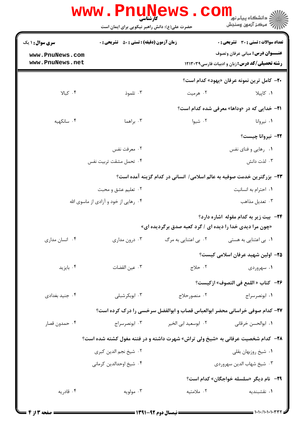| تعداد سوالات : تستى : 30 قشريحى : 0                                                                       |                      | <b>زمان آزمون (دقیقه) : تستی : 50 ٪ تشریحی : 0</b>                          | <b>سری سوال :</b> ۱ یک |  |
|-----------------------------------------------------------------------------------------------------------|----------------------|-----------------------------------------------------------------------------|------------------------|--|
| <b>عنـــوان درس:</b> مبانی عرفان وتصوف                                                                    |                      |                                                                             | www.PnuNews.com        |  |
| <b>رشته تحصیلی/کد درس:</b> زبان و ادبیات فارسی۱۲۱۳۰۳۹                                                     |                      |                                                                             | www.PnuNews.net        |  |
| <b>٢٠</b> - كامل ترين نمونه عرفان «يهود» كدام است؟                                                        |                      |                                                                             |                        |  |
| ۰۱ کاپیلا                                                                                                 | ۰۲ هرمیت             | ۰۳ تلموذ                                                                    | ۰۴ کیالا               |  |
| <b>۲۱- خدایی که در «وداها» معرفی شده کدام است؟</b>                                                        |                      |                                                                             |                        |  |
| ۰۱ نیروانا                                                                                                | ۰۲ شیوا              | ۰۳ براهما                                                                   | ۰۴ سانکهیه             |  |
| ٢٢- نيروانا چيست؟                                                                                         |                      |                                                                             |                        |  |
| ۰۱ رهایی و فنای نفس                                                                                       |                      | ۰۲ معرفت نفس                                                                |                        |  |
| ۰۳ لذت دانش                                                                                               |                      | ۰۴ تحمل مشقت تربيت نفس                                                      |                        |  |
|                                                                                                           |                      | ۲۳– بزرگترین خدمت صوفیه به عالم اسلامی/ انسانی در کدام گزینه آمده است؟      |                        |  |
| ۰۱ احترام به انسانیت                                                                                      |                      | ۰۲ تعلیم عشق و محبت                                                         |                        |  |
| ۰۳ تعدیل مذاهب                                                                                            |                      | ۰۴ رهایی از خود و آزادی از ماسوی الله                                       |                        |  |
| <b>۲۴</b> - بیت زیر به کدام مقوله اشاره دارد؟<br>«چون مرا دیدی خدا را دیده ای / گرد کعبه صدق برگردیده ای» |                      |                                                                             |                        |  |
| ۰۱ بی اعتنایی به هستی                                                                                     | ۰۲ بی اعتنایی به مرگ | ۰۳ درون مداری                                                               | ۰۴ انسان مداری         |  |
| <b>۲۵</b> – اولین شهید عرفان اسلامی کیست؟                                                                 |                      |                                                                             |                        |  |
| ۰۱ سهروردی                                                                                                | ٢. حلاج              | ٠٣ عين القضات                                                               | ۰۴ بايزيد              |  |
| ٢۶− كتاب « اللمع في التصوف» ازكيست؟                                                                       |                      |                                                                             |                        |  |
| ۰۱ ابونصرسراج                                                                                             | ۰۲ منصورحلاج         | ۰۳ ابوبکرشبلی                                                               | ۰۴ جنید بغدادی         |  |
|                                                                                                           |                      | ۲۷- کدام صوفی خراسانی محضر ابوالعباس قصاب و ابوالفضل سرخسی را درک کرده است؟ |                        |  |
| ٠١. ابوالحسن خرقاني                                                                                       | ۰۲ ابوسعید ابی الخیر | ابونصرسراج $\cdot$ ۳                                                        | ۰۴ حمدون قصار          |  |
| <b>۲۸</b> - کدام شخصیت عرفانی به «شیخ ولی تراش» شهرت داشته و در فتنه مغول کشته شده است؟                   |                      |                                                                             |                        |  |
| ٠١ شيخ روزبهان بقلي                                                                                       |                      | ۰۲ شیخ نجم الدین کبری                                                       |                        |  |
| ۰۳ شیخ شهاب الدین سهروردی                                                                                 |                      | ۰۴ شیخ اوحدالدین کرمانی                                                     |                        |  |
| 7٩- نام ديگر «سلسله خواجگان» كدام است؟                                                                    |                      |                                                                             |                        |  |
|                                                                                                           |                      |                                                                             |                        |  |